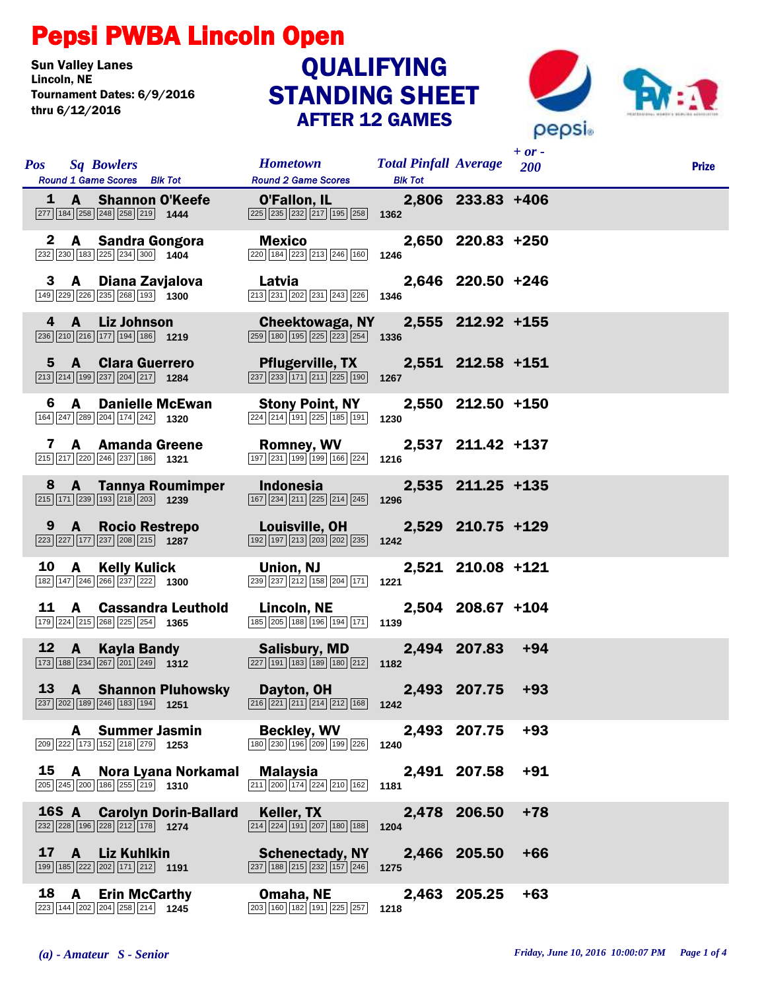## Pepsi PWBA Lincoln Open

**Sun Valley Lanes<br>Lincoln. NE** Tournament Dates: 6/9/2016 thru 6/12/2016

## STANDING SHEET AFTER 12 GAMES QUALIFYING



|              |              |                                                                                                                       |                                                                                                                    |                                                    |                   | $+$ or $-$ |              |
|--------------|--------------|-----------------------------------------------------------------------------------------------------------------------|--------------------------------------------------------------------------------------------------------------------|----------------------------------------------------|-------------------|------------|--------------|
| <b>Pos</b>   |              | <b>Sq Bowlers</b><br>Round 1 Game Scores Blk Tot                                                                      | <b>Hometown</b><br><b>Round 2 Game Scores</b>                                                                      | <b>Total Pinfall Average</b> 200<br><b>Blk Tot</b> |                   |            | <b>Prize</b> |
|              |              | 1 A Shannon O'Keefe<br>$\boxed{277}$ 184 $\boxed{258}$ 248 $\boxed{258}$ 219 1444                                     | <b>O'Fallon, IL</b><br>$\sqrt{225}\sqrt{235}\sqrt{232}\sqrt{217}\sqrt{195}\sqrt{258}$ 1362                         |                                                    | 2,806 233.83 +406 |            |              |
|              |              | 2 A Sandra Gongora<br>232 230 183 225 234 300 1404                                                                    | Mexico<br>220 184 223 213 246 160                                                                                  | 1246                                               | 2,650 220.83 +250 |            |              |
|              |              | 3 A Diana Zavjalova<br>149 229 226 235 268 193 1300                                                                   | Latvia<br>213 231 202 231 243 226                                                                                  | 1346                                               | 2,646 220.50 +246 |            |              |
|              |              | 4 A Liz Johnson<br>236 210 216 177 194 186 1219                                                                       | Cheektowaga, NY<br>$\boxed{259}$ 180 195 225 223 254 1336                                                          |                                                    | 2,555 212.92 +155 |            |              |
|              |              | 5 A Clara Guerrero<br>$\boxed{213}$ $\boxed{214}$ $\boxed{199}$ $\boxed{237}$ $\boxed{204}$ $\boxed{217}$ <b>1284</b> | <b>Pflugerville, TX</b><br>$\boxed{237}$ $\boxed{233}$ $\boxed{171}$ $\boxed{211}$ $\boxed{225}$ $\boxed{190}$     | 1267                                               | 2,551 212.58 +151 |            |              |
| 6.           |              | <b>A</b> Danielle McEwan<br>164 247 289 204 174 242 1320                                                              | <b>Stony Point, NY</b><br>$\boxed{224}$ $\boxed{214}$ $\boxed{191}$ $\boxed{225}$ $\boxed{185}$ $\boxed{191}$      | 1230                                               | 2,550 212.50 +150 |            |              |
| 7            |              | A Amanda Greene<br>215 217 220 246 237 186 1321                                                                       | <b>Romney, WV</b><br>197 231 199 199 166 224                                                                       | 1216                                               | 2,537 211.42 +137 |            |              |
|              |              | 8 A Tannya Roumimper<br>$\boxed{215}$ 171 239 193 218 203 1239                                                        | <b>Indonesia</b><br>167 234 211 225 214 245                                                                        | 1296                                               | 2,535 211.25 +135 |            |              |
|              |              | 9 A Rocio Restrepo<br>$\boxed{223}\boxed{227}\boxed{177}\boxed{237}\boxed{208}\boxed{215}$ 1287                       | <b>Louisville, OH</b><br>$\boxed{192}\ \boxed{197}\ \boxed{213}\ \boxed{203}\ \boxed{202}\ \boxed{235}$            | 1242                                               | 2,529 210.75 +129 |            |              |
|              |              | 10 A Kelly Kulick<br>182 147 246 266 237 222 1300                                                                     | Union, NJ<br>239 237 212 158 204 171                                                                               | 1221                                               | 2,521 210.08 +121 |            |              |
|              |              | 11 A Cassandra Leuthold<br>179 224 215 268 225 254 1365                                                               | Lincoln, NE<br>185 205 188 196 194 171                                                                             | 1139                                               | 2,504 208.67 +104 |            |              |
|              |              | 12 A Kayla Bandy<br>$\boxed{173}$ $\boxed{188}$ $\boxed{234}$ $\boxed{267}$ $\boxed{201}$ $\boxed{249}$ <b>1312</b>   | <b>Salisbury, MD</b><br>$\boxed{227}$ 191 183 189 180 212 1182                                                     |                                                    | 2,494 207.83      | $+94$      |              |
|              |              | 13 A Shannon Pluhowsky<br>$\boxed{237}$ $\boxed{202}$ $\boxed{189}$ $\boxed{246}$ $\boxed{183}$ $\boxed{194}$ 1251    | Dayton, OH 2,493 207.75 +93<br>$\boxed{216}$ $\boxed{221}$ $\boxed{211}$ $\boxed{214}$ $\boxed{212}$ $\boxed{168}$ | 1242                                               |                   |            |              |
|              | A            | <b>Summer Jasmin</b><br>209 222 173 152 218 279 1253                                                                  | <b>Beckley, WV</b><br>$\boxed{180}$ $\boxed{230}$ $\boxed{196}$ $\boxed{209}$ $\boxed{199}$ $\boxed{226}$          | 1240                                               | 2,493 207.75      | $+93$      |              |
| 15           |              | A Nora Lyana Norkamal<br>205 245 200 186 255 219 1310                                                                 | Malaysia<br>$\boxed{211}$ $\boxed{200}$ $\boxed{174}$ $\boxed{224}$ $\boxed{210}$ $\boxed{162}$                    | 1181                                               | 2,491 207.58      | $+91$      |              |
| <b>16S A</b> |              | <b>Carolyn Dorin-Ballard</b><br>232 228 196 228 212 178 1274                                                          | Keller, TX<br>$\boxed{214}$ $\boxed{224}$ $\boxed{191}$ $\boxed{207}$ $\boxed{180}$ $\boxed{188}$                  | 1204                                               | 2,478 206.50      | $+78$      |              |
| 17           | $\mathbf{A}$ | <b>Liz Kuhlkin</b><br>$\boxed{199}$ $\boxed{185}$ $\boxed{222}$ $\boxed{202}$ $\boxed{171}$ $\boxed{212}$ <b>1191</b> | <b>Schenectady, NY</b><br>237 188 215 232 157 246                                                                  | 1275                                               | 2,466 205.50      | $+66$      |              |
| 18           |              | <b>A</b> Erin McCarthy<br>223 144 202 204 258 214 1245                                                                | Omaha, NE<br>203 160 182 191 225 257                                                                               | 1218                                               | 2,463 205.25      | $+63$      |              |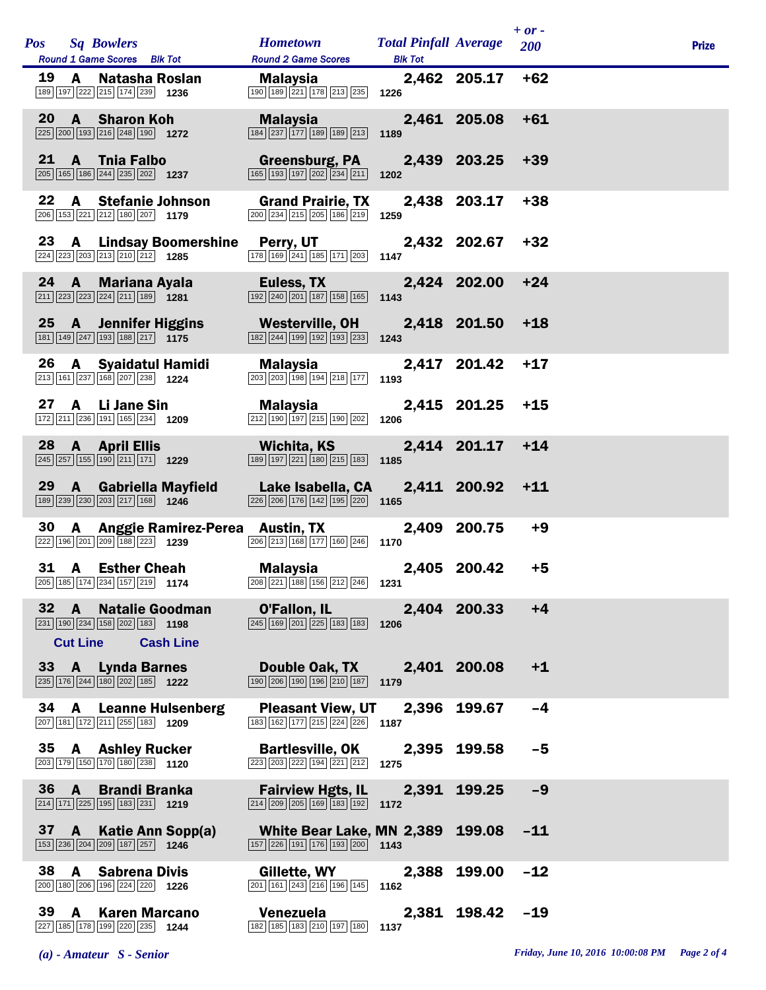|    |              | Pos Sq Bowlers<br><b>Round 1 Game Scores</b> Blk Tot                                                                 |                              | <b>Hometown</b><br><b>Round 2 Game Scores</b>                                                                                                | <b>Total Pinfall Average</b><br><b>Blk Tot</b> |                  | $+$ or $-$<br>200 | <b>Prize</b> |
|----|--------------|----------------------------------------------------------------------------------------------------------------------|------------------------------|----------------------------------------------------------------------------------------------------------------------------------------------|------------------------------------------------|------------------|-------------------|--------------|
| 19 | A            | Natasha Roslan<br>189 197 222 215 174 239 1236                                                                       |                              | <b>Malaysia</b><br>190 189 221 178 213 235 1226                                                                                              |                                                | 2,462 205.17     | $+62$             |              |
| 20 |              | <b>A</b> Sharon Koh<br>225 200 193 216 248 190 1272                                                                  |                              | <b>Malaysia</b><br>184 237 177 189 189 213                                                                                                   | 1189                                           | 2,461 205.08     | $+61$             |              |
| 21 | $\mathbf{A}$ | <b>Thia Falbo</b><br>205 165 186 244 235 202 1237                                                                    |                              | <b>Greensburg, PA</b><br>$\boxed{165}$ $\boxed{193}$ $\boxed{197}$ $\boxed{202}$ $\boxed{234}$ $\boxed{211}$                                 | 1202                                           | 2,439 203.25     | $+39$             |              |
| 22 | A            | <b>Stefanie Johnson</b><br>206 153 221 212 180 207 1179                                                              |                              | <b>Grand Prairie, TX</b><br>200 234 215 205 186 219                                                                                          | 1259                                           | 2,438 203.17     | $+38$             |              |
| 23 |              | 224 223 203 213 210 212 1285                                                                                         | <b>A</b> Lindsay Boomershine | Perry, UT<br>178 169 241 185 171 203                                                                                                         | 1147                                           | 2,432 202.67     | $+32$             |              |
|    | 24 A         | Mariana Ayala<br>$\boxed{211}$ $\boxed{223}$ $\boxed{223}$ $\boxed{224}$ $\boxed{211}$ $\boxed{189}$ <b>1281</b>     |                              | Euless, TX<br>$\boxed{192}$ $\boxed{240}$ $\boxed{201}$ $\boxed{187}$ $\boxed{158}$ $\boxed{165}$                                            | 1143                                           | 2,424 202.00     | $+24$             |              |
|    |              | 25 A Jennifer Higgins<br>181 149 247 193 188 217 175                                                                 |                              | <b>Westerville, OH</b><br>182 244 199 192 193 233 1243                                                                                       |                                                | 2,418 201.50     | $+18$             |              |
| 26 |              | <b>A</b> Syaidatul Hamidi<br>213 161 237 168 207 238 1224                                                            |                              | Malaysia<br>203 203 198 194 218 177                                                                                                          | 1193                                           | 2,417 201.42     | $+17$             |              |
| 27 |              | A Li Jane Sin<br>172 211 236 191 165 234 1209                                                                        |                              | Malaysia<br>212 190 197 215 190 202                                                                                                          | 1206                                           | 2,415 201.25 +15 |                   |              |
|    |              | 28 A April Ellis<br>$\boxed{245}$ $\boxed{257}$ $\boxed{155}$ $\boxed{190}$ $\boxed{211}$ $\boxed{171}$ <b>1229</b>  |                              | <b>Wichita, KS</b><br>$\boxed{189}$ $\boxed{197}$ $\boxed{221}$ $\boxed{180}$ $\boxed{215}$ $\boxed{183}$ <b>1185</b>                        |                                                | 2,414 201.17     | $+14$             |              |
| 29 |              | <b>A</b> Gabriella Mayfield<br>189 239 230 203 217 168 1246                                                          |                              | Lake Isabella, CA<br>$\sqrt{226}\sqrt{206}\sqrt{176}\sqrt{142}\sqrt{195}\sqrt{220}$ 1165                                                     | 2,411 200.92                                   |                  | $+11$             |              |
| 30 |              | $\boxed{222}$ 196 201 209 188 223 1239                                                                               |                              | A Anggie Ramirez-Perea Austin, TX<br>$\boxed{206}$ $\boxed{213}$ $\boxed{168}$ $\boxed{177}$ $\boxed{160}$ $\boxed{246}$ <b>1170</b>         |                                                | 2,409 200.75     | $+9$              |              |
|    |              | 31 A Esther Cheah<br>205 185 174 234 157 219 1174                                                                    |                              | Malaysia<br>208 221 188 156 212 246 1231                                                                                                     |                                                | 2,405 200.42     | $+5$              |              |
|    | $32 \quad A$ | <b>Natalie Goodman</b><br>231 190 234 158 202 183 1198<br><b>Cut Line Cash Line</b>                                  |                              | O'Fallon, IL 2,404 200.33<br>$\boxed{245}$ 169 $\boxed{201}$ $\boxed{225}$ 183 183 1206                                                      |                                                |                  | $+4$              |              |
|    |              | 33 A Lynda Barnes<br>$\boxed{235}$ $\boxed{176}$ $\boxed{244}$ $\boxed{180}$ $\boxed{202}$ $\boxed{185}$ <b>1222</b> |                              | Double Oak, TX 2,401 200.08<br>$\boxed{190}$ $\boxed{206}$ $\boxed{190}$ $\boxed{196}$ $\boxed{210}$ $\boxed{187}$ 1179                      |                                                |                  | $+1$              |              |
|    |              | 34 A Leanne Hulsenberg<br>207 181 172 211 255 183 1209                                                               |                              | Pleasant View, UT 2,396 199.67<br>183 162 177 215 224 226 187                                                                                |                                                |                  | $-4$              |              |
|    |              | 35 A Ashley Rucker<br>203 179 150 170 180 238 1120                                                                   |                              | <b>Bartlesville, OK</b><br>$\overline{223}$ $\overline{203}$ $\overline{222}$ $\overline{194}$ $\overline{221}$ $\overline{212}$ <b>1275</b> |                                                | 2,395 199.58     | $-5$              |              |
|    | $36 \quad A$ | <b>Brandi Branka</b><br>$\boxed{214}$ 171 225 195 183 231 1219                                                       |                              | Fairview Hgts, IL 2,391 199.25<br>$\boxed{214}$ $\boxed{209}$ $\boxed{205}$ $\boxed{169}$ $\boxed{183}$ $\boxed{192}$ <b>1172</b>            |                                                |                  | $-9$              |              |
|    | $37 \quad A$ | Katie Ann Sopp(a)<br>153 236 204 209 187 257 1246                                                                    |                              | White Bear Lake, MN 2,389 199.08<br>$\boxed{157}$ $\boxed{226}$ $\boxed{191}$ $\boxed{176}$ $\boxed{193}$ $\boxed{200}$ <b>1143</b>          |                                                |                  | $-11$             |              |
| 38 | <b>A</b>     | <b>Sabrena Divis</b><br>200 180 206 196 224 220 1226                                                                 |                              | Gillette, WY<br>201 161 243 216 196 145 1162                                                                                                 |                                                | 2,388 199.00     | $-12$             |              |
|    | 39 A         | <b>Karen Marcano</b><br>227 185 178 199 220 235 1244                                                                 |                              | Venezuela <b>Martia</b><br>182 185 183 210 197 180 1137                                                                                      |                                                | 2,381 198.42 -19 |                   |              |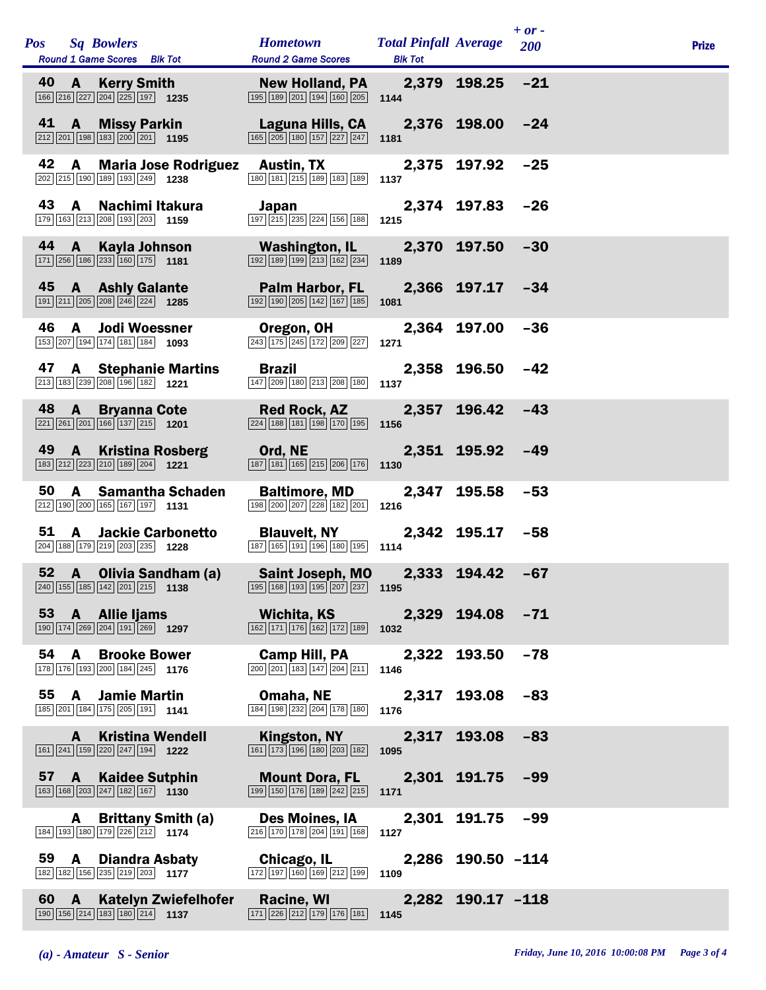|      |                | Pos Sq Bowlers<br>Round 1 Game Scores Blk Tot                                                                         |                              | <b>Hometown Total Pinfall Average</b><br><b>Round 2 Game Scores</b>                                                                     | <b>Blk Tot</b> |                   | $+ or -$<br>200 | <b>Prize</b> |
|------|----------------|-----------------------------------------------------------------------------------------------------------------------|------------------------------|-----------------------------------------------------------------------------------------------------------------------------------------|----------------|-------------------|-----------------|--------------|
| 40 A |                | <b>Kerry Smith</b><br>166 216 227 204 225 197 1235                                                                    |                              | New Holland, PA 2,379 198.25<br>$\boxed{195}$ $\boxed{189}$ $\boxed{201}$ $\boxed{194}$ $\boxed{160}$ $\boxed{205}$ <b>1144</b>         |                |                   | $-21$           |              |
|      |                | 41 A Missy Parkin<br>$\boxed{212}\boxed{201}\boxed{198}\boxed{183}\boxed{200}\boxed{201}$ 1195                        |                              | Laguna Hills, CA<br>$\boxed{165}$ $\boxed{205}$ $\boxed{180}$ $\boxed{157}$ $\boxed{227}$ $\boxed{247}$ <b>1181</b>                     |                | 2,376 198.00 -24  |                 |              |
|      |                | 202 215 190 189 193 249 1238                                                                                          |                              | 42 A Maria Jose Rodriguez Austin, TX<br>$\boxed{180}$ $\boxed{181}$ $\boxed{215}$ $\boxed{189}$ $\boxed{183}$ $\boxed{189}$ <b>1137</b> |                | 2,375 197.92      | $-25$           |              |
| 43   |                | A Nachimi Itakura<br>179 163 213 208 193 203 1159                                                                     |                              | <b>Japan</b><br>197 215 235 224 156 188                                                                                                 | 1215           | 2,374 197.83      | $-26$           |              |
| 44 A |                | Kayla Johnson<br>$\boxed{171}$ $\boxed{256}$ $\boxed{186}$ $\boxed{233}$ $\boxed{160}$ $\boxed{175}$ 1181             |                              | <b>Washington, IL</b><br>$\boxed{192}$ $\boxed{189}$ $\boxed{199}$ $\boxed{213}$ $\boxed{162}$ $\boxed{234}$                            | 1189           | 2,370 197.50      | $-30$           |              |
|      |                | 45 A Ashly Galante<br>$\boxed{191}$ $\boxed{211}$ $\boxed{205}$ $\boxed{208}$ $\boxed{246}$ $\boxed{224}$ <b>1285</b> |                              | <b>Palm Harbor, FL</b><br>$\boxed{192}$ $\boxed{190}$ $\boxed{205}$ $\boxed{142}$ $\boxed{167}$ $\boxed{185}$                           | 1081           | 2,366 197.17 -34  |                 |              |
| 46   | $\mathbf{A}$   | <b>Jodi Woessner</b><br>153 207 194 174 181 184 1093                                                                  |                              | Oregon, OH<br>$\boxed{243}\boxed{175}\boxed{245}\boxed{172}\boxed{209}\boxed{227}$                                                      | 1271           | 2,364 197.00      | $-36$           |              |
|      |                | 213 183 239 208 196 182 1221                                                                                          | 47 A Stephanie Martins       | <b>Brazil</b><br>147 209 180 213 208 180                                                                                                | 1137           | 2,358 196.50      | $-42$           |              |
| 48 A |                | $\boxed{221}$ $\boxed{261}$ $\boxed{201}$ $\boxed{166}$ $\boxed{137}$ $\boxed{215}$ <b>1201</b>                       | <b>Bryanna Cote</b>          | <b>Red Rock, AZ</b><br>$\boxed{224}$ 188 181 198 170 195 1156                                                                           |                | 2,357 196.42      | $-43$           |              |
| 49 A |                | <b>Kristina Rosberg</b><br>183 212 223 210 189 204 1221                                                               |                              | <b>Ord, NE</b><br>$\boxed{187}$ $\boxed{181}$ $\boxed{165}$ $\boxed{215}$ $\boxed{206}$ $\boxed{176}$ <b>1130</b>                       |                | 2,351 195.92      | -49             |              |
| 50   |                | $\boxed{212}$ 190 $\boxed{200}$ 165 167 197 1131                                                                      | <b>A</b> Samantha Schaden    | <b>Baltimore, MD</b><br>198 200 207 228 182 201                                                                                         | 1216           | 2,347 195.58      | $-53$           |              |
|      |                | 51 A Jackie Carbonetto<br>204 188 179 219 203 235 1228                                                                |                              | <b>Blauvelt, NY</b><br>187 165 191 196 180 195 1114                                                                                     |                | 2,342 195.17 -58  |                 |              |
|      |                | $\boxed{240}$ 155 185 142 201 215 1138                                                                                |                              | 52 A Olivia Sandham (a) Saint Joseph, MO 2,333 194.42<br>195 168 193 195 207 237 1195                                                   |                |                   | $-67$           |              |
|      |                | 53 A Allie Ijams<br>190 174 269 204 191 269 1297                                                                      |                              | Wichita, KS<br>$\boxed{162}$ $\boxed{171}$ $\boxed{176}$ $\boxed{162}$ $\boxed{172}$ $\boxed{189}$ <b>1032</b>                          |                | 2,329 194.08 -71  |                 |              |
| 54 A |                | <b>Brooke Bower</b><br>178 176 193 200 184 245 1176                                                                   |                              | <b>Camp Hill, PA</b><br>$\boxed{200}$ $\boxed{201}$ $\boxed{183}$ $\boxed{147}$ $\boxed{204}$ $\boxed{211}$                             | 1146           | 2,322 193.50 -78  |                 |              |
|      |                | 55 A Jamie Martin<br>185 201 184 175 205 191 1141                                                                     |                              | Omaha, NE<br>184 198 232 204 178 180                                                                                                    | 1176           | 2,317 193.08      | $-83$           |              |
|      | A              | <b>Kristina Wendell</b><br>161 241 159 220 247 194 1222                                                               |                              | Kingston, NY<br>161 173 196 180 203 182                                                                                                 | 1095           | 2,317 193.08      | $-83$           |              |
| 57   | $\overline{A}$ | <b>Kaidee Sutphin</b><br>163 168 203 247 182 167 1130                                                                 |                              | <b>Mount Dora, FL</b><br>199 150 176 189 242 215                                                                                        | 1171           | 2,301 191.75 -99  |                 |              |
|      | A              | <b>Brittany Smith (a)</b><br>184 193 180 179 226 212 1174                                                             |                              | Des Moines, IA<br>$\boxed{216}$ $\boxed{170}$ $\boxed{178}$ $\boxed{204}$ $\boxed{191}$ $\boxed{168}$                                   | 1127           | 2,301 191.75 -99  |                 |              |
| 59   |                | A Diandra Asbaty                                                                                                      | 182 182 156 235 219 203 1177 | Chicago, IL<br>172 197 160 169 212 199                                                                                                  | 1109           | 2,286 190.50 -114 |                 |              |
| 60 A |                | 190 156 214 183 180 214 1137                                                                                          | <b>Katelyn Zwiefelhofer</b>  | <b>Racine, WI Racine</b><br>$\boxed{171}$ $\boxed{226}$ $\boxed{212}$ $\boxed{179}$ $\boxed{176}$ $\boxed{181}$ <b>1145</b>             |                | 2,282 190.17 -118 |                 |              |